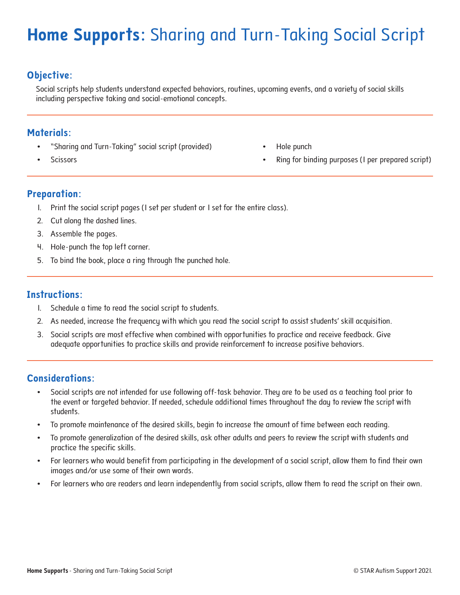## **Home Supports:** Sharing and Turn-Taking Social Script

### **Objective:**

Social scripts help students understand expected behaviors, routines, upcoming events, and a variety of social skills including perspective taking and social-emotional concepts.

#### **Materials:**

- "Sharing and Turn-Taking" social script (provided)
- **Scissors**
- Hole punch
- Ring for binding purposes (1 per prepared script)

#### **Preparation:**

- 1. Print the social script pages (1 set per student or 1 set for the entire class).
- 2. Cut along the dashed lines.
- 3. Assemble the pages.
- 4. Hole-punch the top left corner.
- 5. To bind the book, place a ring through the punched hole.

#### **Instructions:**

- 1. Schedule a time to read the social script to students.
- 2. As needed, increase the frequency with which you read the social script to assist students' skill acquisition.
- 3. Social scripts are most effective when combined with opportunities to practice and receive feedback. Give adequate opportunities to practice skills and provide reinforcement to increase positive behaviors.

#### **Considerations:**

- Social scripts are not intended for use following off-task behavior. They are to be used as a teaching tool prior to the event or targeted behavior. If needed, schedule additional times throughout the day to review the script with students.
- To promote maintenance of the desired skills, begin to increase the amount of time between each reading.
- To promote generalization of the desired skills, ask other adults and peers to review the script with students and practice the specific skills.
- For learners who would benefit from participating in the development of a social script, allow them to find their own images and/or use some of their own words.
- For learners who are readers and learn independently from social scripts, allow them to read the script on their own.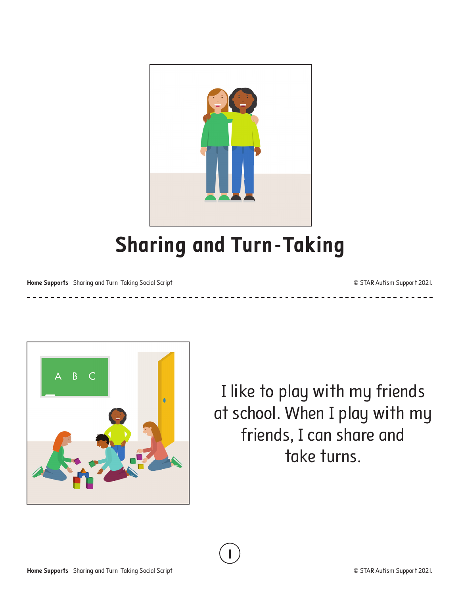

# **Sharing and Turn-Taking**

**1**

**Home Supports** - Sharing and Turn-Taking Social Script **Contract Contract Contract Contract Contract Contract Contract Contract Contract Contract Contract Contract Contract Contract Contract Contract Contract Contract Con** 

\_ \_ \_ \_ \_ \_ \_ \_ \_ \_ \_ \_ \_ \_ \_ \_



I like to play with my friends at school. When I play with my friends, I can share and take turns.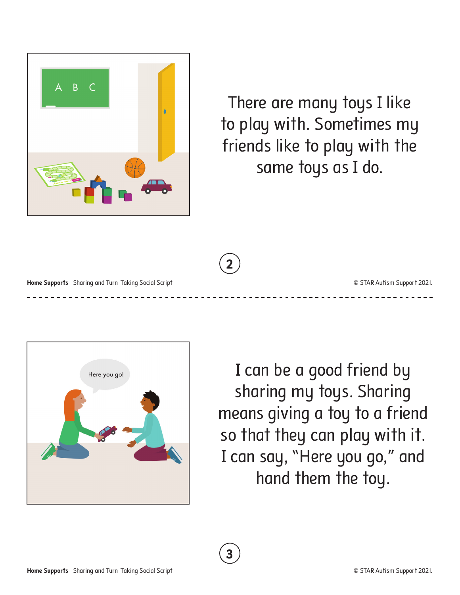

There are many toys I like to play with. Sometimes my friends like to play with the same toys as I do.



**3**

**Home Supports** - Sharing and Turn-Taking Social Script **Contract Contract Contract Contract Contract Contract Contract Contract Contract Contract Contract Contract Contract Contract Contract Contract Contract Contract Con** 





I can be a good friend by sharing my toys. Sharing means giving a toy to a friend so that they can play with it. I can say, "Here you go," and hand them the toy.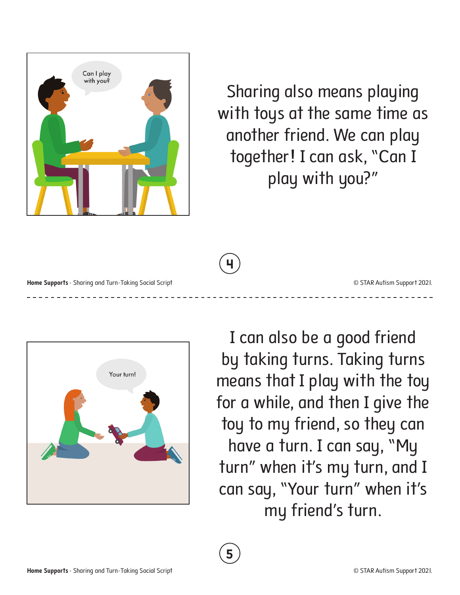

Sharing also means playing with toys at the same time as another friend. We can play together! I can ask, "Can I play with you?"

**4**

**Home Supports** - Sharing and Turn-Taking Social Script **Contract Contract Contract Contract Contract Contract Contract Contract Contract Contract Contract Contract Contract Contract Contract Contract Contract Contract Con** 



I can also be a good friend by taking turns. Taking turns means that I play with the toy for a while, and then I give the toy to my friend, so they can have a turn. I can say, "My turn" when it's my turn, and I can say, "Your turn" when it's my friend's turn.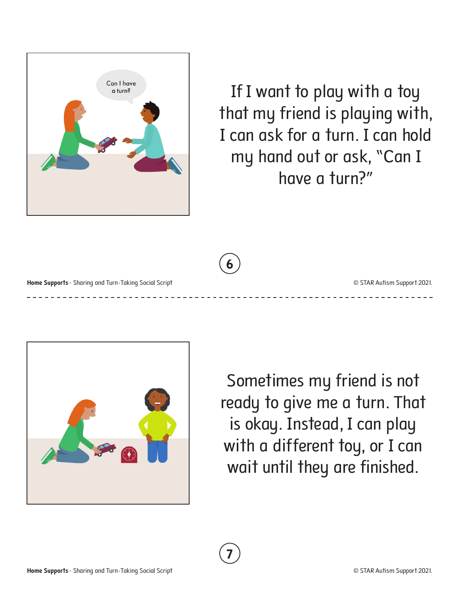

If I want to play with a toy that my friend is playing with, I can ask for a turn. I can hold my hand out or ask, "Can I have a turn?"

**6**

**7**

**Home Supports** - Sharing and Turn-Taking Social Script **Contract Contract Contract Contract Contract Contract Contract Contract Contract Contract Contract Contract Contract Contract Contract Contract Contract Contract Con** 



Sometimes my friend is not ready to give me a turn. That is okay. Instead, I can play with a different toy, or I can wait until they are finished.